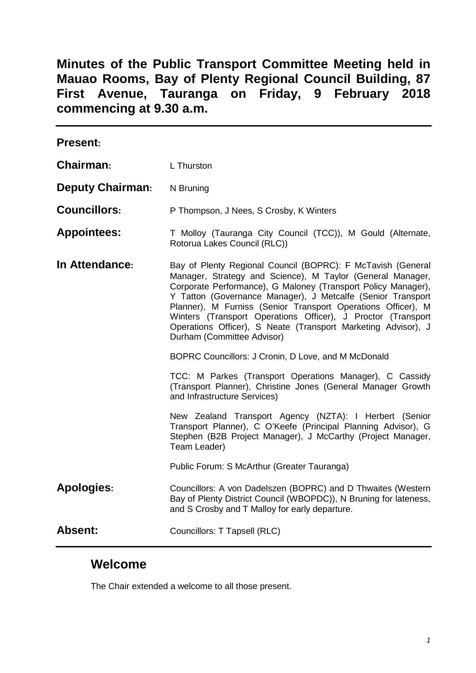**Minutes of the Public Transport Committee Meeting held in Mauao Rooms, Bay of Plenty Regional Council Building, 87 First Avenue, Tauranga on Friday, 9 February 2018 commencing at 9.30 a.m.**

| <b>Present:</b>         |                                                                                                                                                                                                                                                                                                                                                                                                                                                                                          |  |
|-------------------------|------------------------------------------------------------------------------------------------------------------------------------------------------------------------------------------------------------------------------------------------------------------------------------------------------------------------------------------------------------------------------------------------------------------------------------------------------------------------------------------|--|
| Chairman:               | L Thurston                                                                                                                                                                                                                                                                                                                                                                                                                                                                               |  |
| <b>Deputy Chairman:</b> | N Bruning                                                                                                                                                                                                                                                                                                                                                                                                                                                                                |  |
| <b>Councillors:</b>     | P Thompson, J Nees, S Crosby, K Winters                                                                                                                                                                                                                                                                                                                                                                                                                                                  |  |
| <b>Appointees:</b>      | T Molloy (Tauranga City Council (TCC)), M Gould (Alternate,<br>Rotorua Lakes Council (RLC))                                                                                                                                                                                                                                                                                                                                                                                              |  |
| In Attendance:          | Bay of Plenty Regional Council (BOPRC): F McTavish (General<br>Manager, Strategy and Science), M Taylor (General Manager,<br>Corporate Performance), G Maloney (Transport Policy Manager),<br>Y Tatton (Governance Manager), J Metcalfe (Senior Transport<br>Planner), M Furniss (Senior Transport Operations Officer), M<br>Winters (Transport Operations Officer), J Proctor (Transport<br>Operations Officer), S Neate (Transport Marketing Advisor), J<br>Durham (Committee Advisor) |  |
|                         | BOPRC Councillors: J Cronin, D Love, and M McDonald<br>TCC: M Parkes (Transport Operations Manager), C Cassidy<br>(Transport Planner), Christine Jones (General Manager Growth<br>and Infrastructure Services)                                                                                                                                                                                                                                                                           |  |
|                         |                                                                                                                                                                                                                                                                                                                                                                                                                                                                                          |  |
|                         | New Zealand Transport Agency (NZTA): I Herbert (Senior<br>Transport Planner), C O'Keefe (Principal Planning Advisor), G<br>Stephen (B2B Project Manager), J McCarthy (Project Manager,<br>Team Leader)                                                                                                                                                                                                                                                                                   |  |
|                         | Public Forum: S McArthur (Greater Tauranga)                                                                                                                                                                                                                                                                                                                                                                                                                                              |  |
| <b>Apologies:</b>       | Councillors: A von Dadelszen (BOPRC) and D Thwaites (Western<br>Bay of Plenty District Council (WBOPDC)), N Bruning for lateness,<br>and S Crosby and T Malloy for early departure.                                                                                                                                                                                                                                                                                                      |  |
| <b>Absent:</b>          | Councillors: T Tapsell (RLC)                                                                                                                                                                                                                                                                                                                                                                                                                                                             |  |

# **Welcome**

The Chair extended a welcome to all those present.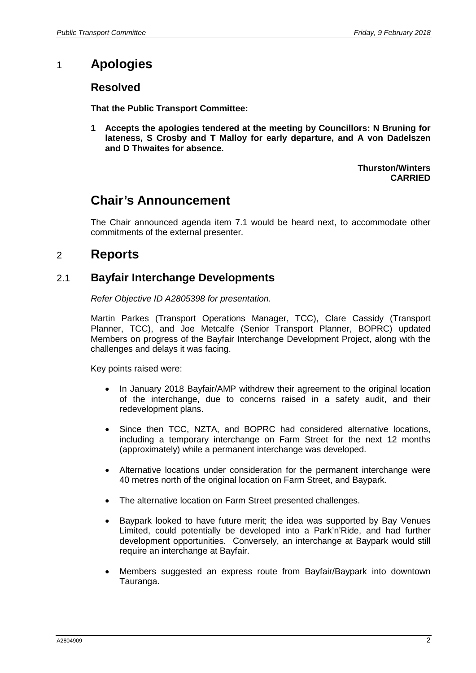# 1 **Apologies**

# **Resolved**

**That the Public Transport Committee:**

**1 Accepts the apologies tendered at the meeting by Councillors: N Bruning for lateness, S Crosby and T Malloy for early departure, and A von Dadelszen and D Thwaites for absence.**

> **Thurston/Winters CARRIED**

# **Chair's Announcement**

The Chair announced agenda item 7.1 would be heard next, to accommodate other commitments of the external presenter.

# 2 **Reports**

# 2.1 **Bayfair Interchange Developments**

*Refer Objective ID A2805398 for presentation.*

Martin Parkes (Transport Operations Manager, TCC), Clare Cassidy (Transport Planner, TCC), and Joe Metcalfe (Senior Transport Planner, BOPRC) updated Members on progress of the Bayfair Interchange Development Project, along with the challenges and delays it was facing.

Key points raised were:

- In January 2018 Bayfair/AMP withdrew their agreement to the original location of the interchange, due to concerns raised in a safety audit, and their redevelopment plans.
- Since then TCC, NZTA, and BOPRC had considered alternative locations, including a temporary interchange on Farm Street for the next 12 months (approximately) while a permanent interchange was developed.
- Alternative locations under consideration for the permanent interchange were 40 metres north of the original location on Farm Street, and Baypark.
- The alternative location on Farm Street presented challenges.
- Baypark looked to have future merit; the idea was supported by Bay Venues Limited, could potentially be developed into a Park'n'Ride, and had further development opportunities. Conversely, an interchange at Baypark would still require an interchange at Bayfair.
- Members suggested an express route from Bayfair/Baypark into downtown Tauranga.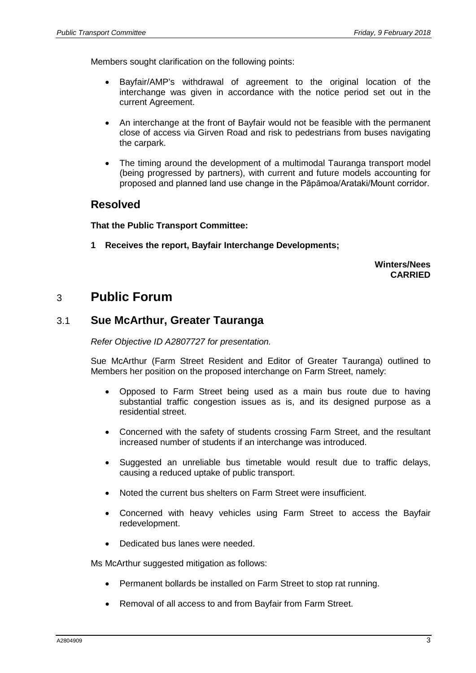Members sought clarification on the following points:

- Bayfair/AMP's withdrawal of agreement to the original location of the interchange was given in accordance with the notice period set out in the current Agreement.
- An interchange at the front of Bayfair would not be feasible with the permanent close of access via Girven Road and risk to pedestrians from buses navigating the carpark.
- The timing around the development of a multimodal Tauranga transport model (being progressed by partners), with current and future models accounting for proposed and planned land use change in the Pāpāmoa/Arataki/Mount corridor.

#### **Resolved**

**That the Public Transport Committee:**

**1 Receives the report, Bayfair Interchange Developments;**

**Winters/Nees CARRIED**

# 3 **Public Forum**

#### 3.1 **Sue McArthur, Greater Tauranga**

*Refer Objective ID A2807727 for presentation.*

Sue McArthur (Farm Street Resident and Editor of Greater Tauranga) outlined to Members her position on the proposed interchange on Farm Street, namely:

- Opposed to Farm Street being used as a main bus route due to having substantial traffic congestion issues as is, and its designed purpose as a residential street.
- Concerned with the safety of students crossing Farm Street, and the resultant increased number of students if an interchange was introduced.
- Suggested an unreliable bus timetable would result due to traffic delays, causing a reduced uptake of public transport.
- Noted the current bus shelters on Farm Street were insufficient.
- Concerned with heavy vehicles using Farm Street to access the Bayfair redevelopment.
- Dedicated bus lanes were needed.

Ms McArthur suggested mitigation as follows:

- Permanent bollards be installed on Farm Street to stop rat running.
- Removal of all access to and from Bayfair from Farm Street.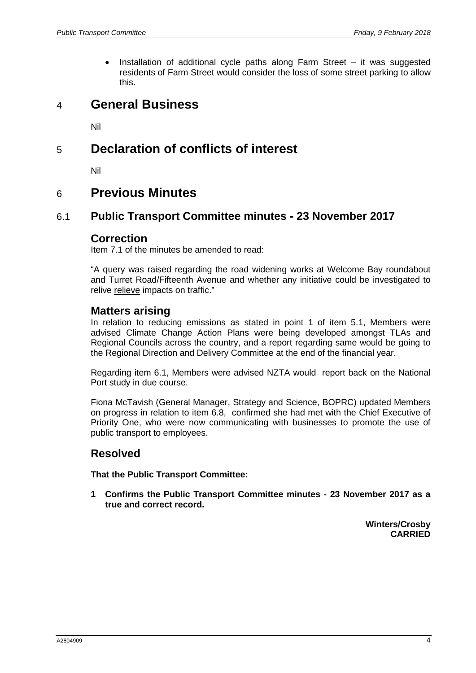Installation of additional cycle paths along Farm Street  $-$  it was suggested residents of Farm Street would consider the loss of some street parking to allow this.

# 4 **General Business**

Nil

# 5 **Declaration of conflicts of interest**

Nil

# 6 **Previous Minutes**

### 6.1 **Public Transport Committee minutes - 23 November 2017**

#### **Correction**

Item 7.1 of the minutes be amended to read:

"A query was raised regarding the road widening works at Welcome Bay roundabout and Turret Road/Fifteenth Avenue and whether any initiative could be investigated to relive relieve impacts on traffic."

#### **Matters arising**

In relation to reducing emissions as stated in point 1 of item 5.1, Members were advised Climate Change Action Plans were being developed amongst TLAs and Regional Councils across the country, and a report regarding same would be going to the Regional Direction and Delivery Committee at the end of the financial year.

Regarding item 6.1, Members were advised NZTA would report back on the National Port study in due course.

Fiona McTavish (General Manager, Strategy and Science, BOPRC) updated Members on progress in relation to item 6.8, confirmed she had met with the Chief Executive of Priority One, who were now communicating with businesses to promote the use of public transport to employees.

# **Resolved**

**That the Public Transport Committee:**

**1 Confirms the Public Transport Committee minutes - 23 November 2017 as a true and correct record.**

> **Winters/Crosby CARRIED**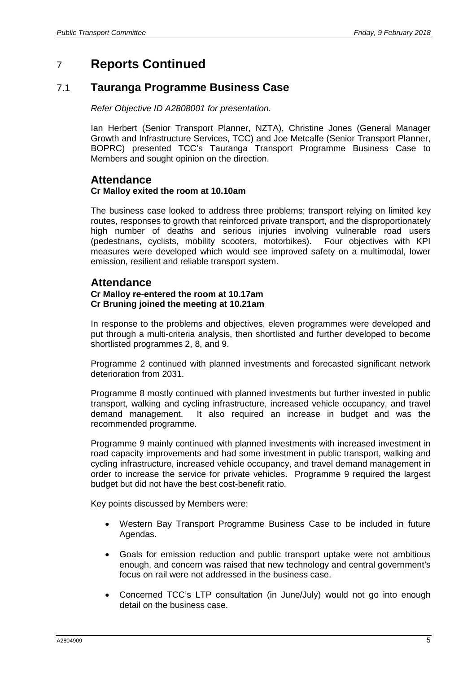# 7 **Reports Continued**

## 7.1 **Tauranga Programme Business Case**

*Refer Objective ID A2808001 for presentation.*

Ian Herbert (Senior Transport Planner, NZTA), Christine Jones (General Manager Growth and Infrastructure Services, TCC) and Joe Metcalfe (Senior Transport Planner, BOPRC) presented TCC's Tauranga Transport Programme Business Case to Members and sought opinion on the direction.

#### **Attendance Cr Malloy exited the room at 10.10am**

The business case looked to address three problems; transport relying on limited key routes, responses to growth that reinforced private transport, and the disproportionately high number of deaths and serious injuries involving vulnerable road users (pedestrians, cyclists, mobility scooters, motorbikes). Four objectives with KPI measures were developed which would see improved safety on a multimodal, lower emission, resilient and reliable transport system.

### **Attendance**

#### **Cr Malloy re-entered the room at 10.17am Cr Bruning joined the meeting at 10.21am**

In response to the problems and objectives, eleven programmes were developed and put through a multi-criteria analysis, then shortlisted and further developed to become shortlisted programmes 2, 8, and 9.

Programme 2 continued with planned investments and forecasted significant network deterioration from 2031.

Programme 8 mostly continued with planned investments but further invested in public transport, walking and cycling infrastructure, increased vehicle occupancy, and travel demand management. It also required an increase in budget and was the recommended programme.

Programme 9 mainly continued with planned investments with increased investment in road capacity improvements and had some investment in public transport, walking and cycling infrastructure, increased vehicle occupancy, and travel demand management in order to increase the service for private vehicles. Programme 9 required the largest budget but did not have the best cost-benefit ratio.

Key points discussed by Members were:

- Western Bay Transport Programme Business Case to be included in future Agendas.
- Goals for emission reduction and public transport uptake were not ambitious enough, and concern was raised that new technology and central government's focus on rail were not addressed in the business case.
- Concerned TCC's LTP consultation (in June/July) would not go into enough detail on the business case.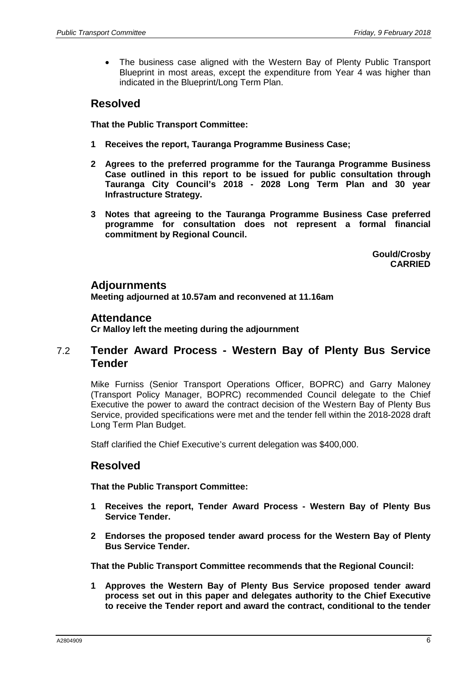The business case aligned with the Western Bay of Plenty Public Transport Blueprint in most areas, except the expenditure from Year 4 was higher than indicated in the Blueprint/Long Term Plan.

## **Resolved**

**That the Public Transport Committee:**

- **1 Receives the report, Tauranga Programme Business Case;**
- **2 Agrees to the preferred programme for the Tauranga Programme Business Case outlined in this report to be issued for public consultation through Tauranga City Council's 2018 - 2028 Long Term Plan and 30 year Infrastructure Strategy.**
- **3 Notes that agreeing to the Tauranga Programme Business Case preferred programme for consultation does not represent a formal financial commitment by Regional Council.**

**Gould/Crosby CARRIED**

#### **Adjournments**

**Meeting adjourned at 10.57am and reconvened at 11.16am**

#### **Attendance**

**Cr Malloy left the meeting during the adjournment**

### 7.2 **Tender Award Process - Western Bay of Plenty Bus Service Tender**

Mike Furniss (Senior Transport Operations Officer, BOPRC) and Garry Maloney (Transport Policy Manager, BOPRC) recommended Council delegate to the Chief Executive the power to award the contract decision of the Western Bay of Plenty Bus Service, provided specifications were met and the tender fell within the 2018-2028 draft Long Term Plan Budget.

Staff clarified the Chief Executive's current delegation was \$400,000.

# **Resolved**

**That the Public Transport Committee:**

- **1 Receives the report, Tender Award Process - Western Bay of Plenty Bus Service Tender.**
- **2 Endorses the proposed tender award process for the Western Bay of Plenty Bus Service Tender.**

**That the Public Transport Committee recommends that the Regional Council:**

**1 Approves the Western Bay of Plenty Bus Service proposed tender award process set out in this paper and delegates authority to the Chief Executive to receive the Tender report and award the contract, conditional to the tender**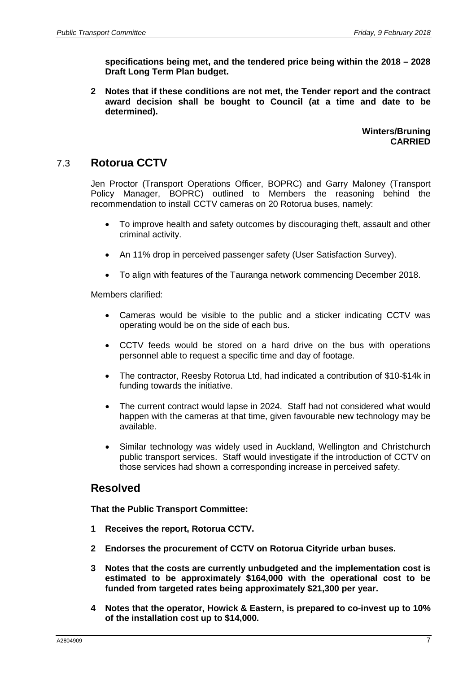**specifications being met, and the tendered price being within the 2018 – 2028 Draft Long Term Plan budget.**

**2 Notes that if these conditions are not met, the Tender report and the contract award decision shall be bought to Council (at a time and date to be determined).** 

> **Winters/Bruning CARRIED**

### 7.3 **Rotorua CCTV**

Jen Proctor (Transport Operations Officer, BOPRC) and Garry Maloney (Transport Policy Manager, BOPRC) outlined to Members the reasoning behind the recommendation to install CCTV cameras on 20 Rotorua buses, namely:

- To improve health and safety outcomes by discouraging theft, assault and other criminal activity.
- An 11% drop in perceived passenger safety (User Satisfaction Survey).
- To align with features of the Tauranga network commencing December 2018.

Members clarified:

- Cameras would be visible to the public and a sticker indicating CCTV was operating would be on the side of each bus.
- CCTV feeds would be stored on a hard drive on the bus with operations personnel able to request a specific time and day of footage.
- The contractor, Reesby Rotorua Ltd, had indicated a contribution of \$10-\$14k in funding towards the initiative.
- The current contract would lapse in 2024. Staff had not considered what would happen with the cameras at that time, given favourable new technology may be available.
- Similar technology was widely used in Auckland, Wellington and Christchurch public transport services. Staff would investigate if the introduction of CCTV on those services had shown a corresponding increase in perceived safety.

### **Resolved**

**That the Public Transport Committee:**

- **1 Receives the report, Rotorua CCTV.**
- **2 Endorses the procurement of CCTV on Rotorua Cityride urban buses.**
- **3 Notes that the costs are currently unbudgeted and the implementation cost is estimated to be approximately \$164,000 with the operational cost to be funded from targeted rates being approximately \$21,300 per year.**
- **4 Notes that the operator, Howick & Eastern, is prepared to co-invest up to 10% of the installation cost up to \$14,000.**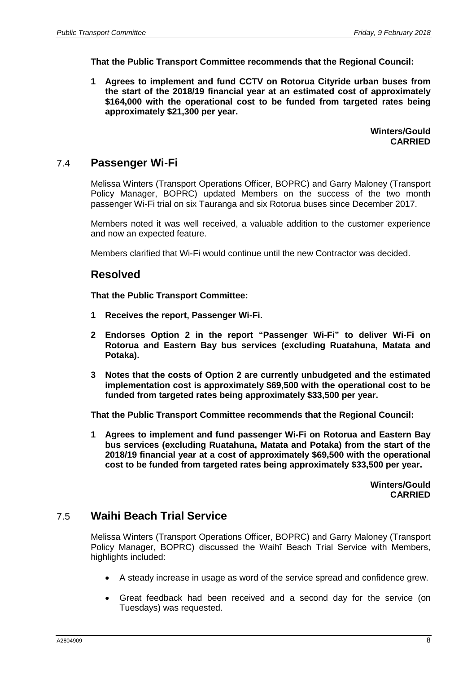**That the Public Transport Committee recommends that the Regional Council:**

**1 Agrees to implement and fund CCTV on Rotorua Cityride urban buses from the start of the 2018/19 financial year at an estimated cost of approximately \$164,000 with the operational cost to be funded from targeted rates being approximately \$21,300 per year.**

> **Winters/Gould CARRIED**

### 7.4 **Passenger Wi-Fi**

Melissa Winters (Transport Operations Officer, BOPRC) and Garry Maloney (Transport Policy Manager, BOPRC) updated Members on the success of the two month passenger Wi-Fi trial on six Tauranga and six Rotorua buses since December 2017.

Members noted it was well received, a valuable addition to the customer experience and now an expected feature.

Members clarified that Wi-Fi would continue until the new Contractor was decided.

#### **Resolved**

**That the Public Transport Committee:**

- **1 Receives the report, Passenger Wi-Fi.**
- **2 Endorses Option 2 in the report "Passenger Wi-Fi" to deliver Wi-Fi on Rotorua and Eastern Bay bus services (excluding Ruatahuna, Matata and Potaka).**
- **3 Notes that the costs of Option 2 are currently unbudgeted and the estimated implementation cost is approximately \$69,500 with the operational cost to be funded from targeted rates being approximately \$33,500 per year.**

**That the Public Transport Committee recommends that the Regional Council:**

**1 Agrees to implement and fund passenger Wi-Fi on Rotorua and Eastern Bay bus services (excluding Ruatahuna, Matata and Potaka) from the start of the 2018/19 financial year at a cost of approximately \$69,500 with the operational cost to be funded from targeted rates being approximately \$33,500 per year.**

> **Winters/Gould CARRIED**

### 7.5 **Waihi Beach Trial Service**

Melissa Winters (Transport Operations Officer, BOPRC) and Garry Maloney (Transport Policy Manager, BOPRC) discussed the Waihī Beach Trial Service with Members, highlights included:

- A steady increase in usage as word of the service spread and confidence grew.
- Great feedback had been received and a second day for the service (on Tuesdays) was requested.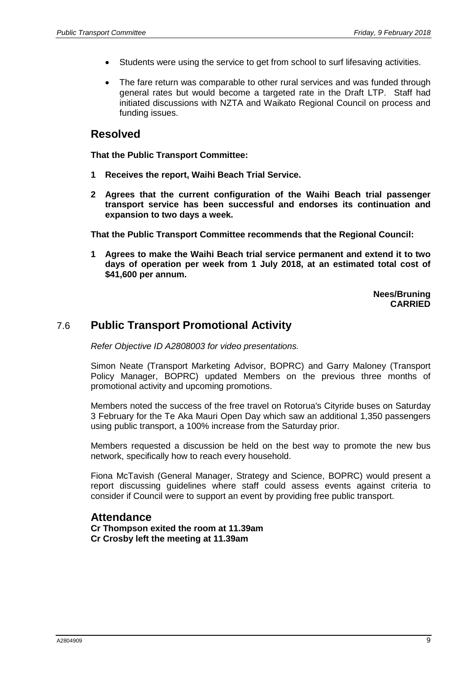- Students were using the service to get from school to surf lifesaving activities.
- The fare return was comparable to other rural services and was funded through general rates but would become a targeted rate in the Draft LTP. Staff had initiated discussions with NZTA and Waikato Regional Council on process and funding issues.

### **Resolved**

**That the Public Transport Committee:**

- **1 Receives the report, Waihi Beach Trial Service.**
- **2 Agrees that the current configuration of the Waihi Beach trial passenger transport service has been successful and endorses its continuation and expansion to two days a week.**

**That the Public Transport Committee recommends that the Regional Council:**

**1 Agrees to make the Waihi Beach trial service permanent and extend it to two days of operation per week from 1 July 2018, at an estimated total cost of \$41,600 per annum.**

> **Nees/Bruning CARRIED**

# 7.6 **Public Transport Promotional Activity**

*Refer Objective ID A2808003 for video presentations.*

Simon Neate (Transport Marketing Advisor, BOPRC) and Garry Maloney (Transport Policy Manager, BOPRC) updated Members on the previous three months of promotional activity and upcoming promotions.

Members noted the success of the free travel on Rotorua's Cityride buses on Saturday 3 February for the Te Aka Mauri Open Day which saw an additional 1,350 passengers using public transport, a 100% increase from the Saturday prior.

Members requested a discussion be held on the best way to promote the new bus network, specifically how to reach every household.

Fiona McTavish (General Manager, Strategy and Science, BOPRC) would present a report discussing guidelines where staff could assess events against criteria to consider if Council were to support an event by providing free public transport.

#### **Attendance**

**Cr Thompson exited the room at 11.39am Cr Crosby left the meeting at 11.39am**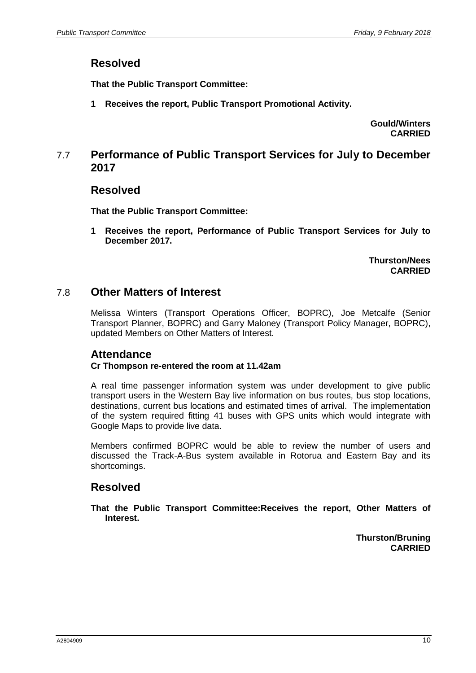# **Resolved**

**That the Public Transport Committee:**

**1 Receives the report, Public Transport Promotional Activity.**

**Gould/Winters CARRIED**

### 7.7 **Performance of Public Transport Services for July to December 2017**

#### **Resolved**

**That the Public Transport Committee:**

**1 Receives the report, Performance of Public Transport Services for July to December 2017.**

> **Thurston/Nees CARRIED**

### 7.8 **Other Matters of Interest**

Melissa Winters (Transport Operations Officer, BOPRC), Joe Metcalfe (Senior Transport Planner, BOPRC) and Garry Maloney (Transport Policy Manager, BOPRC), updated Members on Other Matters of Interest.

# **Attendance**

#### **Cr Thompson re-entered the room at 11.42am**

A real time passenger information system was under development to give public transport users in the Western Bay live information on bus routes, bus stop locations, destinations, current bus locations and estimated times of arrival. The implementation of the system required fitting 41 buses with GPS units which would integrate with Google Maps to provide live data.

Members confirmed BOPRC would be able to review the number of users and discussed the Track-A-Bus system available in Rotorua and Eastern Bay and its shortcomings.

# **Resolved**

**That the Public Transport Committee:Receives the report, Other Matters of Interest.**

> **Thurston/Bruning CARRIED**